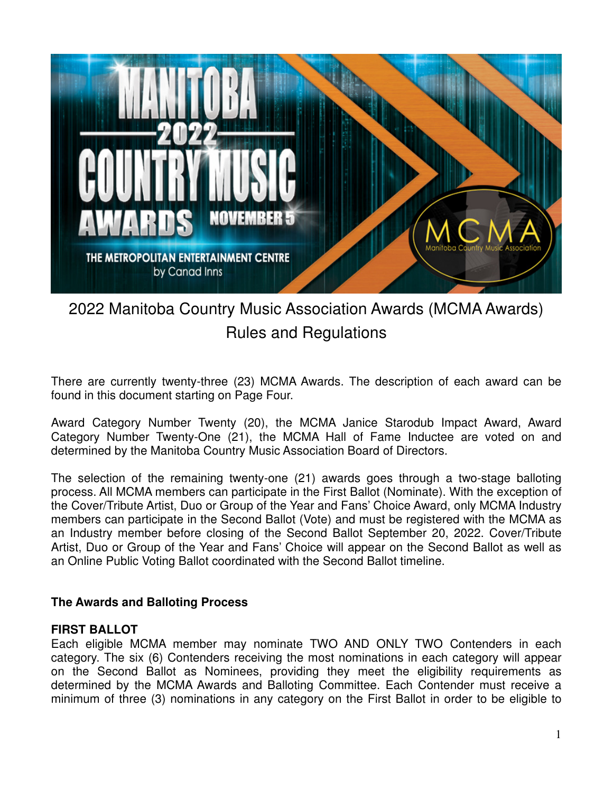

# 2022 Manitoba Country Music Association Awards (MCMA Awards) Rules and Regulations

There are currently twenty-three (23) MCMA Awards. The description of each award can be found in this document starting on Page Four.

Award Category Number Twenty (20), the MCMA Janice Starodub Impact Award, Award Category Number Twenty-One (21), the MCMA Hall of Fame Inductee are voted on and determined by the Manitoba Country Music Association Board of Directors.

The selection of the remaining twenty-one (21) awards goes through a two-stage balloting process. All MCMA members can participate in the First Ballot (Nominate). With the exception of the Cover/Tribute Artist, Duo or Group of the Year and Fans' Choice Award, only MCMA Industry members can participate in the Second Ballot (Vote) and must be registered with the MCMA as an Industry member before closing of the Second Ballot September 20, 2022. Cover/Tribute Artist, Duo or Group of the Year and Fans' Choice will appear on the Second Ballot as well as an Online Public Voting Ballot coordinated with the Second Ballot timeline.

#### **The Awards and Balloting Process**

#### **FIRST BALLOT**

Each eligible MCMA member may nominate TWO AND ONLY TWO Contenders in each category. The six (6) Contenders receiving the most nominations in each category will appear on the Second Ballot as Nominees, providing they meet the eligibility requirements as determined by the MCMA Awards and Balloting Committee. Each Contender must receive a minimum of three (3) nominations in any category on the First Ballot in order to be eligible to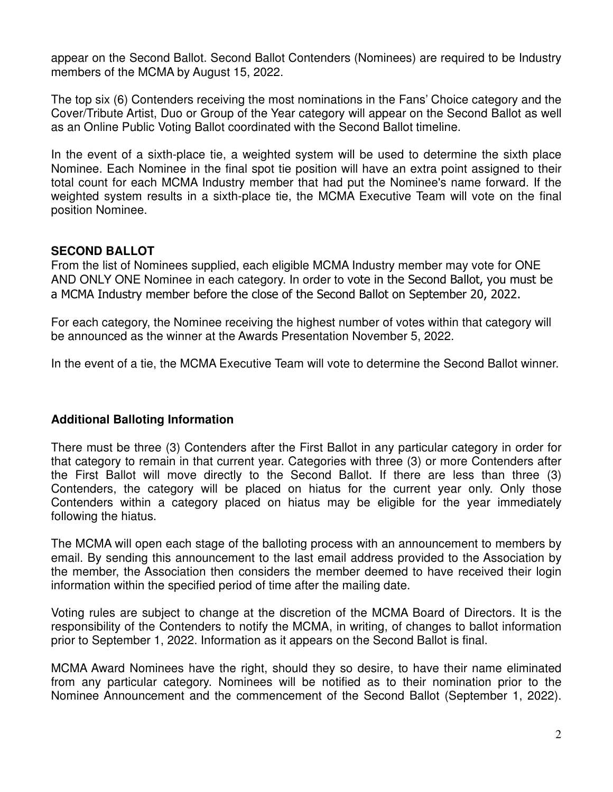appear on the Second Ballot. Second Ballot Contenders (Nominees) are required to be Industry members of the MCMA by August 15, 2022.

The top six (6) Contenders receiving the most nominations in the Fans' Choice category and the Cover/Tribute Artist, Duo or Group of the Year category will appear on the Second Ballot as well as an Online Public Voting Ballot coordinated with the Second Ballot timeline.

In the event of a sixth-place tie, a weighted system will be used to determine the sixth place Nominee. Each Nominee in the final spot tie position will have an extra point assigned to their total count for each MCMA Industry member that had put the Nominee's name forward. If the weighted system results in a sixth-place tie, the MCMA Executive Team will vote on the final position Nominee.

# **SECOND BALLOT**

From the list of Nominees supplied, each eligible MCMA Industry member may vote for ONE AND ONLY ONE Nominee in each category. In order to vote in the Second Ballot, you must be a MCMA Industry member before the close of the Second Ballot on September 20, 2022.

For each category, the Nominee receiving the highest number of votes within that category will be announced as the winner at the Awards Presentation November 5, 2022.

In the event of a tie, the MCMA Executive Team will vote to determine the Second Ballot winner.

# **Additional Balloting Information**

There must be three (3) Contenders after the First Ballot in any particular category in order for that category to remain in that current year. Categories with three (3) or more Contenders after the First Ballot will move directly to the Second Ballot. If there are less than three (3) Contenders, the category will be placed on hiatus for the current year only. Only those Contenders within a category placed on hiatus may be eligible for the year immediately following the hiatus.

The MCMA will open each stage of the balloting process with an announcement to members by email. By sending this announcement to the last email address provided to the Association by the member, the Association then considers the member deemed to have received their login information within the specified period of time after the mailing date.

Voting rules are subject to change at the discretion of the MCMA Board of Directors. It is the responsibility of the Contenders to notify the MCMA, in writing, of changes to ballot information prior to September 1, 2022. Information as it appears on the Second Ballot is final.

MCMA Award Nominees have the right, should they so desire, to have their name eliminated from any particular category. Nominees will be notified as to their nomination prior to the Nominee Announcement and the commencement of the Second Ballot (September 1, 2022).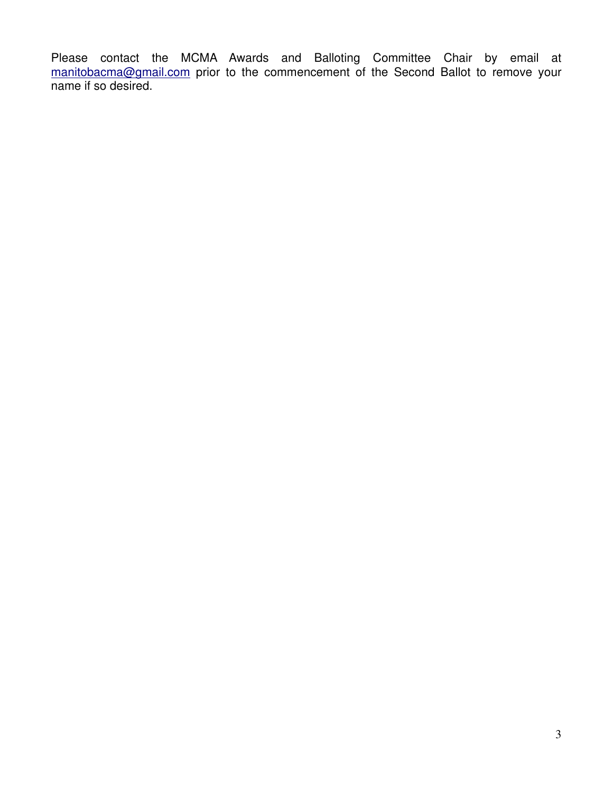Please contact the MCMA Awards and Balloting Committee Chair by email at manitobacma@gmail.com prior to the commencement of the Second Ballot to remove your name if so desired.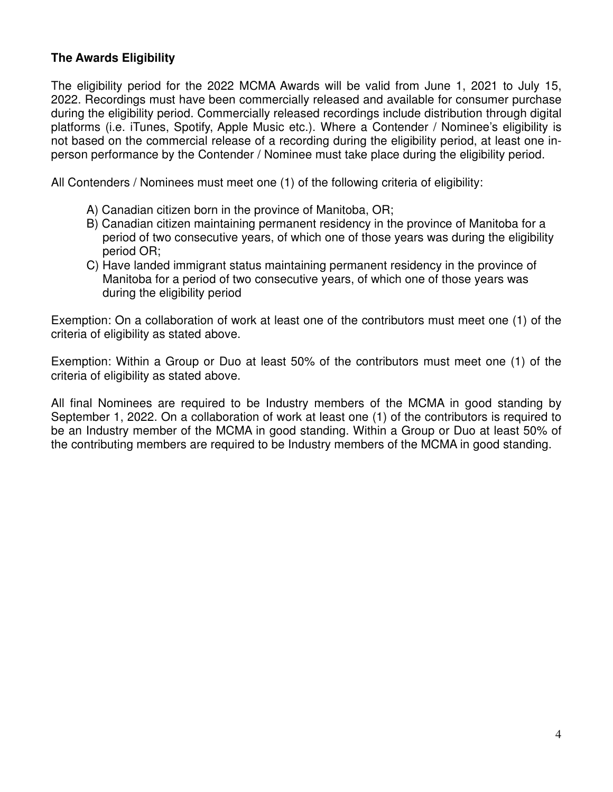# **The Awards Eligibility**

The eligibility period for the 2022 MCMA Awards will be valid from June 1, 2021 to July 15, 2022. Recordings must have been commercially released and available for consumer purchase during the eligibility period. Commercially released recordings include distribution through digital platforms (i.e. iTunes, Spotify, Apple Music etc.). Where a Contender / Nominee's eligibility is not based on the commercial release of a recording during the eligibility period, at least one inperson performance by the Contender / Nominee must take place during the eligibility period.

All Contenders / Nominees must meet one (1) of the following criteria of eligibility:

- A) Canadian citizen born in the province of Manitoba, OR;
- B) Canadian citizen maintaining permanent residency in the province of Manitoba for a period of two consecutive years, of which one of those years was during the eligibility period OR;
- C) Have landed immigrant status maintaining permanent residency in the province of Manitoba for a period of two consecutive years, of which one of those years was during the eligibility period

Exemption: On a collaboration of work at least one of the contributors must meet one (1) of the criteria of eligibility as stated above.

Exemption: Within a Group or Duo at least 50% of the contributors must meet one (1) of the criteria of eligibility as stated above.

All final Nominees are required to be Industry members of the MCMA in good standing by September 1, 2022. On a collaboration of work at least one (1) of the contributors is required to be an Industry member of the MCMA in good standing. Within a Group or Duo at least 50% of the contributing members are required to be Industry members of the MCMA in good standing.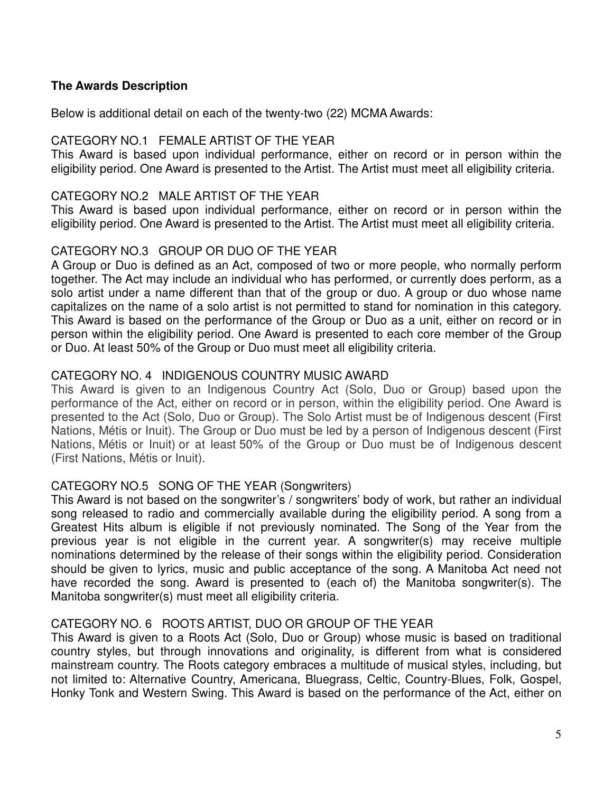## **The Awards Description**

Below is additional detail on each of the twenty-two (22) MCMA Awards:

## CATEGORY NO.1 FEMALE ARTIST OF THE YEAR

This Award is based upon individual performance, either on record or in person within the eligibility period. One Award is presented to the Artist. The Artist must meet all eligibility criteria.

#### CATEGORY NO.2 MALE ARTIST OF THE YEAR

This Award is based upon individual performance, either on record or in person within the eligibility period. One Award is presented to the Artist. The Artist must meet all eligibility criteria.

# CATEGORY NO.3 GROUP OR DUO OF THE YEAR

A Group or Duo is defined as an Act, composed of two or more people, who normally perform together. The Act may include an individual who has performed, or currently does perform, as a solo artist under a name different than that of the group or duo. A group or duo whose name capitalizes on the name of a solo artist is not permitted to stand for nomination in this category. This Award is based on the performance of the Group or Duo as a unit, either on record or in person within the eligibility period. One Award is presented to each core member of the Group or Duo. At least 50% of the Group or Duo must meet all eligibility criteria.

# CATEGORY NO. 4 INDIGENOUS COUNTRY MUSIC AWARD

This Award is given to an Indigenous Country Act (Solo, Duo or Group) based upon the performance of the Act, either on record or in person, within the eligibility period. One Award is presented to the Act (Solo, Duo or Group). The Solo Artist must be of Indigenous descent (First Nations, Métis or Inuit). The Group or Duo must be led by a person of Indigenous descent (First Nations, Métis or Inuit) or at least 50% of the Group or Duo must be of Indigenous descent (First Nations, Métis or Inuit).

# CATEGORY NO.5 SONG OF THE YEAR (Songwriters)

This Award is not based on the songwriter's / songwriters' body of work, but rather an individual song released to radio and commercially available during the eligibility period. A song from a Greatest Hits album is eligible if not previously nominated. The Song of the Year from the previous year is not eligible in the current year. A songwriter(s) may receive multiple nominations determined by the release of their songs within the eligibility period. Consideration should be given to lyrics, music and public acceptance of the song. A Manitoba Act need not have recorded the song. Award is presented to (each of) the Manitoba songwriter(s). The Manitoba songwriter(s) must meet all eligibility criteria.

# CATEGORY NO. 6 ROOTS ARTIST, DUO OR GROUP OF THE YEAR

This Award is given to a Roots Act (Solo, Duo or Group) whose music is based on traditional country styles, but through innovations and originality, is different from what is considered mainstream country. The Roots category embraces a multitude of musical styles, including, but not limited to: Alternative Country, Americana, Bluegrass, Celtic, Country-Blues, Folk, Gospel, Honky Tonk and Western Swing. This Award is based on the performance of the Act, either on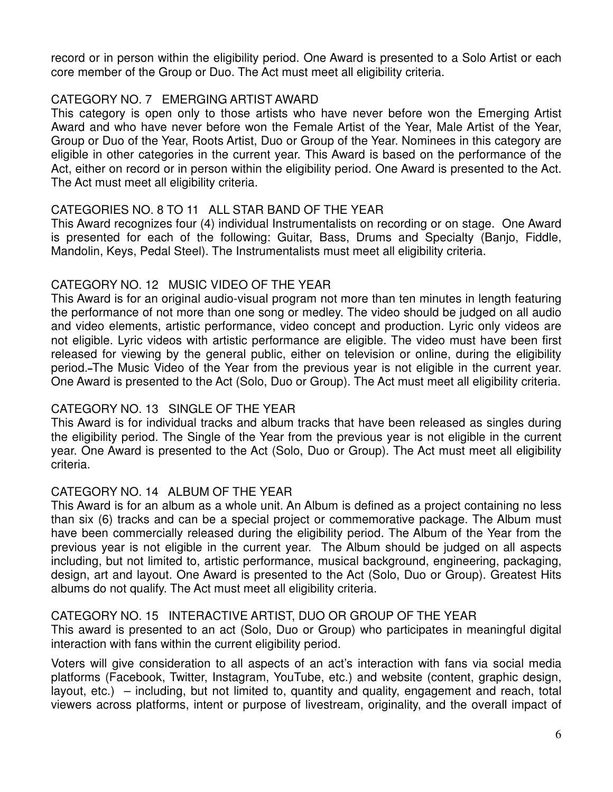record or in person within the eligibility period. One Award is presented to a Solo Artist or each core member of the Group or Duo. The Act must meet all eligibility criteria.

# CATEGORY NO. 7 EMERGING ARTIST AWARD

This category is open only to those artists who have never before won the Emerging Artist Award and who have never before won the Female Artist of the Year, Male Artist of the Year, Group or Duo of the Year, Roots Artist, Duo or Group of the Year. Nominees in this category are eligible in other categories in the current year. This Award is based on the performance of the Act, either on record or in person within the eligibility period. One Award is presented to the Act. The Act must meet all eligibility criteria.

# CATEGORIES NO. 8 TO 11 ALL STAR BAND OF THE YEAR

This Award recognizes four (4) individual Instrumentalists on recording or on stage. One Award is presented for each of the following: Guitar, Bass, Drums and Specialty (Banjo, Fiddle, Mandolin, Keys, Pedal Steel). The Instrumentalists must meet all eligibility criteria.

# CATEGORY NO. 12 MUSIC VIDEO OF THE YEAR

This Award is for an original audio-visual program not more than ten minutes in length featuring the performance of not more than one song or medley. The video should be judged on all audio and video elements, artistic performance, video concept and production. Lyric only videos are not eligible. Lyric videos with artistic performance are eligible. The video must have been first released for viewing by the general public, either on television or online, during the eligibility period. The Music Video of the Year from the previous year is not eligible in the current year. One Award is presented to the Act (Solo, Duo or Group). The Act must meet all eligibility criteria.

# CATEGORY NO. 13 SINGLE OF THE YEAR

This Award is for individual tracks and album tracks that have been released as singles during the eligibility period. The Single of the Year from the previous year is not eligible in the current year. One Award is presented to the Act (Solo, Duo or Group). The Act must meet all eligibility criteria.

# CATEGORY NO. 14 ALBUM OF THE YEAR

This Award is for an album as a whole unit. An Album is defined as a project containing no less than six (6) tracks and can be a special project or commemorative package. The Album must have been commercially released during the eligibility period. The Album of the Year from the previous year is not eligible in the current year. The Album should be judged on all aspects including, but not limited to, artistic performance, musical background, engineering, packaging, design, art and layout. One Award is presented to the Act (Solo, Duo or Group). Greatest Hits albums do not qualify. The Act must meet all eligibility criteria.

# CATEGORY NO. 15 INTERACTIVE ARTIST, DUO OR GROUP OF THE YEAR

This award is presented to an act (Solo, Duo or Group) who participates in meaningful digital interaction with fans within the current eligibility period.

Voters will give consideration to all aspects of an act's interaction with fans via social media platforms (Facebook, Twitter, Instagram, YouTube, etc.) and website (content, graphic design, layout, etc.) – including, but not limited to, quantity and quality, engagement and reach, total viewers across platforms, intent or purpose of livestream, originality, and the overall impact of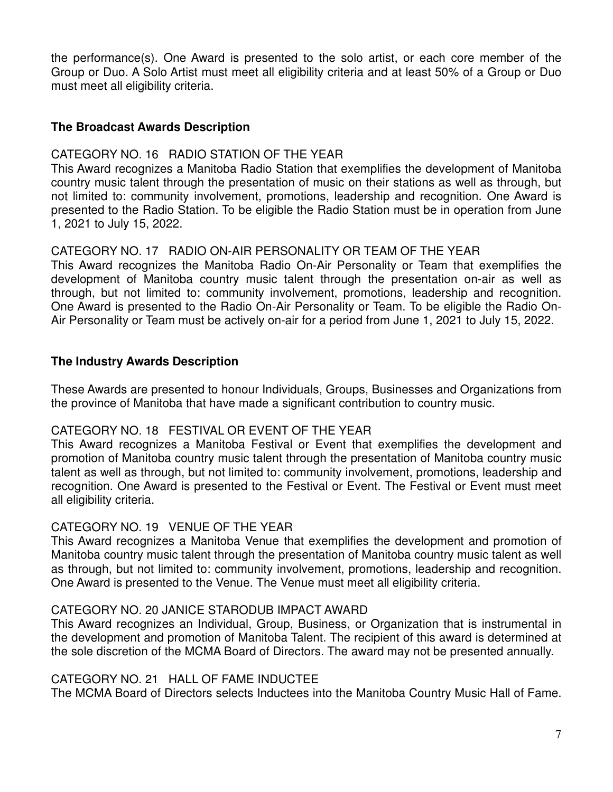the performance(s). One Award is presented to the solo artist, or each core member of the Group or Duo. A Solo Artist must meet all eligibility criteria and at least 50% of a Group or Duo must meet all eligibility criteria.

## **The Broadcast Awards Description**

## CATEGORY NO. 16 RADIO STATION OF THE YEAR

This Award recognizes a Manitoba Radio Station that exemplifies the development of Manitoba country music talent through the presentation of music on their stations as well as through, but not limited to: community involvement, promotions, leadership and recognition. One Award is presented to the Radio Station. To be eligible the Radio Station must be in operation from June 1, 2021 to July 15, 2022.

## CATEGORY NO. 17 RADIO ON-AIR PERSONALITY OR TEAM OF THE YEAR

This Award recognizes the Manitoba Radio On-Air Personality or Team that exemplifies the development of Manitoba country music talent through the presentation on-air as well as through, but not limited to: community involvement, promotions, leadership and recognition. One Award is presented to the Radio On-Air Personality or Team. To be eligible the Radio On-Air Personality or Team must be actively on-air for a period from June 1, 2021 to July 15, 2022.

## **The Industry Awards Description**

These Awards are presented to honour Individuals, Groups, Businesses and Organizations from the province of Manitoba that have made a significant contribution to country music.

#### CATEGORY NO. 18 FESTIVAL OR EVENT OF THE YEAR

This Award recognizes a Manitoba Festival or Event that exemplifies the development and promotion of Manitoba country music talent through the presentation of Manitoba country music talent as well as through, but not limited to: community involvement, promotions, leadership and recognition. One Award is presented to the Festival or Event. The Festival or Event must meet all eligibility criteria.

#### CATEGORY NO. 19 VENUE OF THE YEAR

This Award recognizes a Manitoba Venue that exemplifies the development and promotion of Manitoba country music talent through the presentation of Manitoba country music talent as well as through, but not limited to: community involvement, promotions, leadership and recognition. One Award is presented to the Venue. The Venue must meet all eligibility criteria.

#### CATEGORY NO. 20 JANICE STARODUB IMPACT AWARD

This Award recognizes an Individual, Group, Business, or Organization that is instrumental in the development and promotion of Manitoba Talent. The recipient of this award is determined at the sole discretion of the MCMA Board of Directors. The award may not be presented annually.

#### CATEGORY NO. 21 HALL OF FAME INDUCTEE

The MCMA Board of Directors selects Inductees into the Manitoba Country Music Hall of Fame.